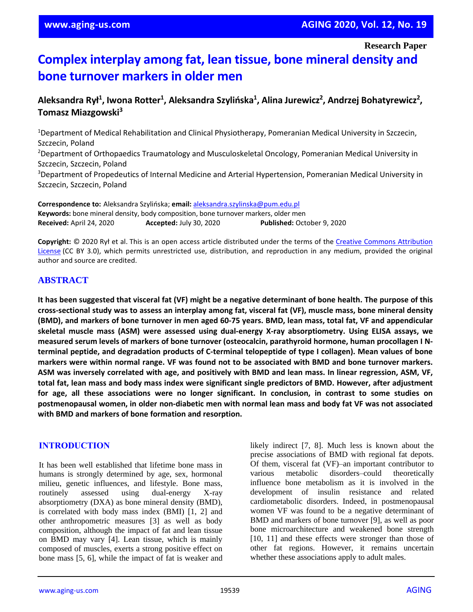**Research Paper**

# **Complex interplay among fat, lean tissue, bone mineral density and bone turnover markers in older men**

# **Aleksandra Rył<sup>1</sup> , Iwona Rotter<sup>1</sup> , Aleksandra Szylińska<sup>1</sup> , Alina Jurewicz<sup>2</sup> , Andrzej Bohatyrewicz<sup>2</sup> , Tomasz Miazgowski<sup>3</sup>**

<sup>1</sup>Department of Medical Rehabilitation and Clinical Physiotherapy, Pomeranian Medical University in Szczecin, Szczecin, Poland <sup>2</sup>Department of Orthopaedics Traumatology and Musculoskeletal Oncology, Pomeranian Medical University in Szczecin, Szczecin, Poland <sup>3</sup>Department of Propedeutics of Internal Medicine and Arterial Hypertension, Pomeranian Medical University in Szczecin, Szczecin, Poland

**Correspondence to:** Aleksandra Szylińska; **email:** [aleksandra.szylinska@pum.edu.pl](mailto:aleksandra.szylinska@pum.edu.pl) **Keywords:** bone mineral density, body composition, bone turnover markers, older men **Received:** April 24, 2020 **Accepted:** July 30, 2020 **Published:** October 9, 2020

**Copyright:** © 2020 Rył et al. This is an open access article distributed under the terms of the [Creative Commons Attribution](https://creativecommons.org/licenses/by/3.0/)  [License](https://creativecommons.org/licenses/by/3.0/) (CC BY 3.0), which permits unrestricted use, distribution, and reproduction in any medium, provided the original author and source are credited.

## **ABSTRACT**

It has been suggested that visceral fat (VF) might be a negative determinant of bone health. The purpose of this cross-sectional study was to assess an interplay among fat, visceral fat (VF), muscle mass, bone mineral density (BMD), and markers of bone turnover in men aged 60-75 years. BMD, lean mass, total fat, VF and appendicular **skeletal muscle mass (ASM) were assessed using dual-energy X-ray absorptiometry. Using ELISA assays, we measured serum levels of markers of bone turnover (osteocalcin, parathyroid hormone, human procollagen I Nterminal peptide, and degradation products of C-terminal telopeptide of type I collagen). Mean values of bone** markers were within normal range. VF was found not to be associated with BMD and bone turnover markers. ASM was inversely correlated with age, and positively with BMD and lean mass. In linear regression, ASM, VF, total fat, lean mass and body mass index were significant single predictors of BMD. However, after adjustment **for age, all these associations were no longer significant. In conclusion, in contrast to some studies on postmenopausal women, in older non-diabetic men with normal lean mass and body fat VF was not associated with BMD and markers of bone formation and resorption.**

#### **INTRODUCTION**

It has been well established that lifetime bone mass in humans is strongly determined by age, sex, hormonal milieu, genetic influences, and lifestyle. Bone mass, routinely assessed using dual-energy X-ray absorptiometry (DXA) as bone mineral density (BMD), is correlated with body mass index (BMI) [1, 2] and other anthropometric measures [3] as well as body composition, although the impact of fat and lean tissue on BMD may vary [4]. Lean tissue, which is mainly composed of muscles, exerts a strong positive effect on bone mass [5, 6], while the impact of fat is weaker and

likely indirect [7, 8]. Much less is known about the precise associations of BMD with regional fat depots. Of them, visceral fat (VF)–an important contributor to various metabolic disorders–could theoretically influence bone metabolism as it is involved in the development of insulin resistance and related cardiometabolic disorders. Indeed, in postmenopausal women VF was found to be a negative determinant of BMD and markers of bone turnover [9], as well as poor bone microarchitecture and weakened bone strength [10, 11] and these effects were stronger than those of other fat regions. However, it remains uncertain whether these associations apply to adult males.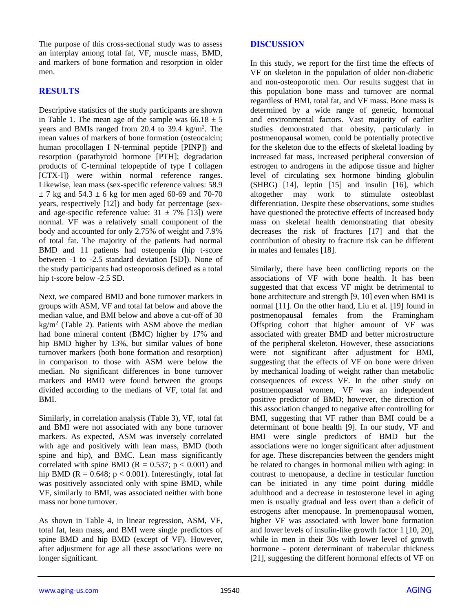The purpose of this cross-sectional study was to assess an interplay among total fat, VF, muscle mass, BMD, and markers of bone formation and resorption in older men.

## **RESULTS**

Descriptive statistics of the study participants are shown in Table 1. The mean age of the sample was  $66.18 \pm 5$ years and BMIs ranged from 20.4 to 39.4 kg/m<sup>2</sup>. The mean values of markers of bone formation (osteocalcin; human procollagen I N-terminal peptide [PINP]) and resorption (parathyroid hormone [PTH]; degradation products of C-terminal telopeptide of type I collagen [CTX-I]) were within normal reference ranges. Likewise, lean mass (sex-specific reference values: 58.9  $\pm$  7 kg and 54.3  $\pm$  6 kg for men aged 60-69 and 70-70 years, respectively [12]) and body fat percentage (sexand age-specific reference value:  $31 \pm 7\%$  [13]) were normal. VF was a relatively small component of the body and accounted for only 2.75% of weight and 7.9% of total fat. The majority of the patients had normal BMD and 11 patients had osteopenia (hip t-score between -1 to -2.5 standard deviation [SD]). None of the study participants had osteoporosis defined as a total hip t-score below -2.5 SD.

Next, we compared BMD and bone turnover markers in groups with ASM, VF and total fat below and above the median value, and BMI below and above a cut-off of 30 kg/m<sup>2</sup> (Table 2). Patients with ASM above the median had bone mineral content (BMC) higher by 17% and hip BMD higher by 13%, but similar values of bone turnover markers (both bone formation and resorption) in comparison to those with ASM were below the median. No significant differences in bone turnover markers and BMD were found between the groups divided according to the medians of VF, total fat and BMI.

Similarly, in correlation analysis (Table 3), VF, total fat and BMI were not associated with any bone turnover markers. As expected, ASM was inversely correlated with age and positively with lean mass, BMD (both spine and hip), and BMC. Lean mass significantly correlated with spine BMD ( $R = 0.537$ ;  $p < 0.001$ ) and hip BMD ( $R = 0.648$ ;  $p < 0.001$ ). Interestingly, total fat was positively associated only with spine BMD, while VF, similarly to BMI, was associated neither with bone mass nor bone turnover.

As shown in Table 4, in linear regression, ASM, VF, total fat, lean mass, and BMI were single predictors of spine BMD and hip BMD (except of VF). However, after adjustment for age all these associations were no longer significant.

## **DISCUSSION**

In this study, we report for the first time the effects of VF on skeleton in the population of older non-diabetic and non-osteoporotic men. Our results suggest that in this population bone mass and turnover are normal regardless of BMI, total fat, and VF mass. Bone mass is determined by a wide range of genetic, hormonal and environmental factors. Vast majority of earlier studies demonstrated that obesity, particularly in postmenopausal women, could be potentially protective for the skeleton due to the effects of skeletal loading by increased fat mass, increased peripheral conversion of estrogen to androgens in the adipose tissue and higher level of circulating sex hormone binding globulin (SHBG) [14], leptin [15] and insulin [16], which altogether may work to stimulate osteoblast differentiation. Despite these observations, some studies have questioned the protective effects of increased body mass on skeletal health demonstrating that obesity decreases the risk of fractures [17] and that the contribution of obesity to fracture risk can be different in males and females [18].

Similarly, there have been conflicting reports on the associations of VF with bone health. It has been suggested that that excess VF might be detrimental to bone architecture and strength [9, 10] even when BMI is normal [11]. On the other hand, Liu et al. [19] found in postmenopausal females from the Framingham Offspring cohort that higher amount of VF was associated with greater BMD and better microstructure of the peripheral skeleton. However, these associations were not significant after adjustment for BMI, suggesting that the effects of VF on bone were driven by mechanical loading of weight rather than metabolic consequences of excess VF. In the other study on postmenopausal women, VF was an independent positive predictor of BMD; however, the direction of this association changed to negative after controlling for BMI, suggesting that VF rather than BMI could be a determinant of bone health [9]. In our study, VF and BMI were single predictors of BMD but the associations were no longer significant after adjustment for age. These discrepancies between the genders might be related to changes in hormonal milieu with aging: in contrast to menopause, a decline in testicular function can be initiated in any time point during middle adulthood and a decrease in testosterone level in aging men is usually gradual and less overt than a deficit of estrogens after menopause. In premenopausal women, higher VF was associated with lower bone formation and lower levels of insulin-like growth factor 1 [10, 20], while in men in their 30s with lower level of growth hormone - potent determinant of trabecular thickness [21], suggesting the different hormonal effects of VF on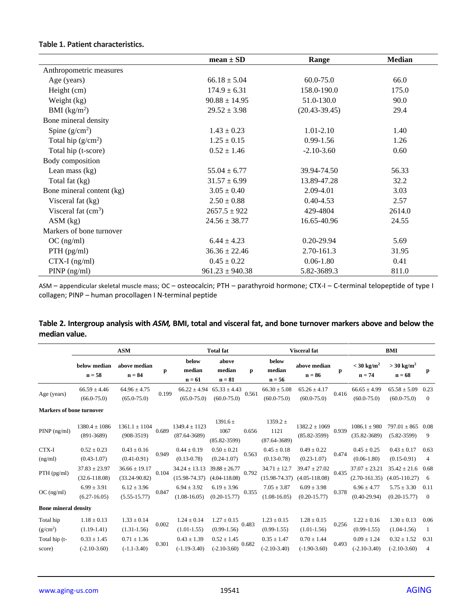#### **Table 1. Patient characteristics.**

|                           | $mean \pm SD$       | Range             | <b>Median</b> |
|---------------------------|---------------------|-------------------|---------------|
| Anthropometric measures   |                     |                   |               |
| Age (years)               | $66.18 \pm 5.04$    | 60.0-75.0         | 66.0          |
| Height (cm)               | $174.9 \pm 6.31$    | 158.0-190.0       | 175.0         |
| Weight (kg)               | $90.88 \pm 14.95$   | 51.0-130.0        | 90.0          |
| BMI (kg/m <sup>2</sup> )  | $29.52 \pm 3.98$    | $(20.43 - 39.45)$ | 29.4          |
| Bone mineral density      |                     |                   |               |
| Spine $(g/cm^2)$          | $1.43 \pm 0.23$     | $1.01 - 2.10$     | 1.40          |
| Total hip $(g/cm2)$       | $1.25 \pm 0.15$     | $0.99 - 1.56$     | 1.26          |
| Total hip (t-score)       | $0.52 \pm 1.46$     | $-2.10 - 3.60$    | 0.60          |
| Body composition          |                     |                   |               |
| Lean mass $(kg)$          | $55.04 \pm 6.77$    | 39.94-74.50       | 56.33         |
| Total fat (kg)            | $31.57 \pm 6.99$    | 13.89-47.28       | 32.2          |
| Bone mineral content (kg) | $3.05 \pm 0.40$     | 2.09-4.01         | 3.03          |
| Visceral fat (kg)         | $2.50 \pm 0.88$     | $0.40 - 4.53$     | 2.57          |
| Visceral fat $(cm3)$      | $2657.5 \pm 922$    | 429-4804          | 2614.0        |
| $ASM$ (kg)                | $24.56 \pm 38.77$   | 16.65-40.96       | 24.55         |
| Markers of bone turnover  |                     |                   |               |
| $OC$ (ng/ml)              | $6.44 \pm 4.23$     | $0.20 - 29.94$    | 5.69          |
| $PTH$ (pg/ml)             | $36.36 \pm 22.46$   | 2.70-161.3        | 31.95         |
| $CTX-I$ (ng/ml)           | $0.45 \pm 0.22$     | $0.06 - 1.80$     | 0.41          |
| $PINP$ (ng/ml)            | $961.23 \pm 940.38$ | 5.82-3689.3       | 811.0         |

ASM – appendicular skeletal muscle mass; OC – osteocalcin; PTH – parathyroid hormone; CTX-I – C-terminal telopeptide of type I collagen; PINP – human procollagen I N-terminal peptide

| Table 2. Intergroup analysis with ASM, BMI, total and visceral fat, and bone turnover markers above and below the |  |  |
|-------------------------------------------------------------------------------------------------------------------|--|--|
| median value.                                                                                                     |  |  |

|                                                    | <b>ASM</b>                                          |                                                       |       |                                                       | <b>Total fat</b>                                    |       | <b>Visceral</b> fat                                 |                                                     | BMI   |                                                     |                                                     |                        |
|----------------------------------------------------|-----------------------------------------------------|-------------------------------------------------------|-------|-------------------------------------------------------|-----------------------------------------------------|-------|-----------------------------------------------------|-----------------------------------------------------|-------|-----------------------------------------------------|-----------------------------------------------------|------------------------|
|                                                    | below median<br>$n = 58$                            | above median<br>$n = 84$                              | p     | below<br>median<br>$n = 61$                           | above<br>median<br>$n = 81$                         | p     | below<br>median<br>$n = 56$                         | above median<br>$n = 86$                            | p     | $<$ 30 kg/m <sup>2</sup><br>$n = 74$                | $>$ 30 kg/m <sup>2</sup><br>$n = 68$                | р                      |
| Age (years)                                        | $66.59 \pm 4.46$<br>$(66.0 - 75.0)$                 | $64.96 \pm 4.75$<br>$(65.0 - 75.0)$                   | 0.199 | $66.22 \pm 4.94$<br>$(65.0 - 75.0)$                   | $65.33 \pm 4.43$<br>$(60.0 - 75.0)$                 | 0.561 | $66.30 \pm 5.08$<br>$(60.0 - 75.0)$                 | $65.26 \pm 4.17$<br>$(60.0 - 75.0)$                 | 0.416 | $66.65 \pm 4.99$<br>$(60.0 - 75.0)$                 | $65.58 \pm 5.09$<br>$(60.0 - 75.0)$                 | 0.23<br>$\mathbf{0}$   |
| <b>Markers of bone turnover</b>                    |                                                     |                                                       |       |                                                       |                                                     |       |                                                     |                                                     |       |                                                     |                                                     |                        |
| $PINP$ (ng/ml)                                     | $1380.4 \pm 1086$<br>$(891-3689)$                   | $1361.1 \pm 1104$<br>$(908-3519)$                     | 0.689 | $1349.4 \pm 1123$<br>$(87.64 - 3689)$                 | $1391.6 \pm$<br>1067<br>$(85.82 - 3599)$            | 0.656 | $1359.2 \pm$<br>1121<br>$(87.64 - 3689)$            | $1382.2 \pm 1069$<br>$(85.82 - 3599)$               | 0.939 | $1086.1 \pm 980$<br>$(35.82 - 3689)$                | $797.01 \pm 865$<br>$(5.82 - 3599)$                 | 0.08<br>9              |
| CTX-I                                              | $0.52 \pm 0.23$                                     | $0.43 \pm 0.16$                                       | 0.949 | $0.44 \pm 0.19$                                       | $0.50 \pm 0.21$                                     | 0.563 | $0.45 \pm 0.18$                                     | $0.49 \pm 0.22$                                     | 0.474 | $0.45 \pm 0.25$                                     | $0.43 \pm 0.17$                                     | 0.63                   |
| (ng/ml)                                            | $(0.43 - 1.07)$                                     | $(0.41 - 0.91)$                                       |       | $(0.13 - 0.78)$                                       | $(0.24 - 1.07)$                                     |       | $(0.13 - 0.78)$                                     | $(0.23 - 1.07)$                                     |       | $(0.06-1.80)$                                       | $(0.15 - 0.91)$                                     | $\overline{4}$         |
| $PTH$ (pg/ml)                                      | $37.83 \pm 23.97$<br>$(32.6 - 118.08)$              | $36.66 \pm 19.17$<br>$(33.24 - 90.82)$                | 0.104 | $34.24 \pm 13.13$<br>$(15.98 - 74.37)$                | $39.88 \pm 26.77$<br>$(4.04 - 118.08)$              | 0.792 | $34.71 \pm 12.7$<br>$(15.98 - 74.37)$               | $39.47 \pm 27.02$<br>$(4.05 - 118.08)$              | 0.435 | $37.07 \pm 23.21$<br>$(2.70 - 161.35)$              | $35.42 \pm 21.6$<br>$(4.05 - 110.27)$               | 0.68<br>6              |
| $OC$ (ng/ml)                                       | $6.99 \pm 3.91$<br>$(6.27 - 16.05)$                 | $6.12 \pm 3.96$<br>$(5.55 - 15.77)$                   | 0.847 | $6.94 \pm 3.92$<br>$(1.08 - 16.05)$                   | $6.19 \pm 3.96$<br>$(0.20 - 15.77)$                 | 0.355 | $7.05 \pm 3.87$<br>$(1.08 - 16.05)$                 | $6.09 \pm 3.98$<br>$(0.20 - 15.77)$                 | 0.378 | $6.96 \pm 4.77$<br>$(0.40 - 29.94)$                 | $5.75 \pm 3.30$<br>$(0.20 - 15.77)$                 | 0.11<br>$\overline{0}$ |
| <b>Bone mineral density</b>                        |                                                     |                                                       |       |                                                       |                                                     |       |                                                     |                                                     |       |                                                     |                                                     |                        |
| Total hip<br>(g/cm <sup>2</sup> )<br>Total hip (t- | $1.18 \pm 0.13$<br>$(1.19-1.41)$<br>$0.33 \pm 1.45$ | $1.33 \pm 0.14$<br>$(1.31 - 1.56)$<br>$0.71 \pm 1.36$ | 0.002 | $1.24 \pm 0.14$<br>$(1.01 - 1.55)$<br>$0.43 \pm 1.39$ | $1.27 \pm 0.15$<br>$(0.99-1.56)$<br>$0.52 \pm 1.45$ | 0.483 | $1.23 \pm 0.15$<br>$(0.99-1.55)$<br>$0.35 \pm 1.47$ | $1.28 \pm 0.15$<br>$(1.01-1.56)$<br>$0.70 \pm 1.44$ | 0.256 | $1.22 \pm 0.16$<br>$(0.99-1.55)$<br>$0.09 \pm 1.24$ | $1.30 \pm 0.13$<br>$(1.04-1.56)$<br>$0.32 \pm 1.52$ | 0.06<br>1<br>0.31      |
| score)                                             | $(-2.10-3.60)$                                      | $(-1.1 - 3.40)$                                       | 0.301 | $(-1.19-3.40)$                                        | $(-2.10-3.60)$                                      | 0.682 | $(-2.10-3.40)$                                      | $(-1.90-3.60)$                                      | 0.493 | $(-2.10-3.40)$                                      | $(-2.10-3.60)$                                      | $\overline{4}$         |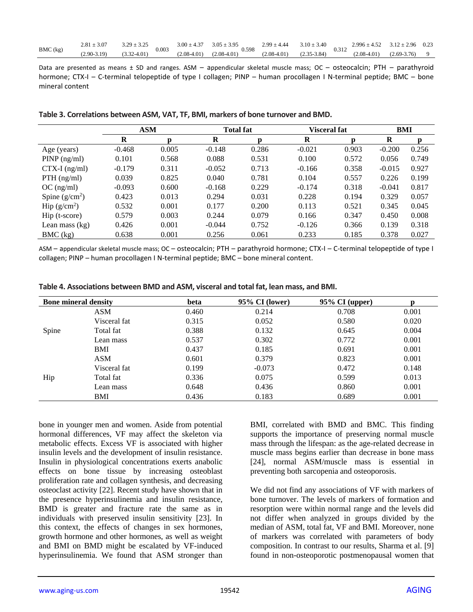| BMC (kg) | $2.81 \pm 3.07$ | $3.29 + 3.25$<br>ن کار ک | 0.003 | $3.00 \pm 4.37$ | $3.05 \pm 3.95$          | $2.99 \pm 4.44$ | $3.10 \pm 3.40$ | $2.996 \pm 4.52$<br>0.312<br>$(2.08 - 4.01)$ |                 | $3.12 \pm 2.96$ | 0.23 |
|----------|-----------------|--------------------------|-------|-----------------|--------------------------|-----------------|-----------------|----------------------------------------------|-----------------|-----------------|------|
|          | $(2.90-3.19)$   | $(3.32 - 4.01)$          |       | $(2.08 - 4.01)$ | 0.598<br>$(2.08 - 4.01)$ | $(2.08 - 4.01)$ | $(2.35 - 3.84)$ |                                              | $(2.69 - 3.76)$ |                 |      |

Data are presented as means ± SD and ranges. ASM - appendicular skeletal muscle mass; OC - osteocalcin; PTH - parathyroid hormone; CTX-I – C-terminal telopeptide of type I collagen; PINP – human procollagen I N-terminal peptide; BMC – bone mineral content

|                       | <b>ASM</b> |       | <b>Total fat</b> |       | Visceral fat | BMI   |          |       |
|-----------------------|------------|-------|------------------|-------|--------------|-------|----------|-------|
|                       | R          | n     | R                |       | R            | n     | R        | n     |
| Age (years)           | $-0.468$   | 0.005 | $-0.148$         | 0.286 | $-0.021$     | 0.903 | $-0.200$ | 0.256 |
| $PINP$ (ng/ml)        | 0.101      | 0.568 | 0.088            | 0.531 | 0.100        | 0.572 | 0.056    | 0.749 |
| $CTX-I$ (ng/ml)       | $-0.179$   | 0.311 | $-0.052$         | 0.713 | $-0.166$     | 0.358 | $-0.015$ | 0.927 |
| $PTH$ (ng/ml)         | 0.039      | 0.825 | 0.040            | 0.781 | 0.104        | 0.557 | 0.226    | 0.199 |
| $OC$ (ng/ml)          | $-0.093$   | 0.600 | $-0.168$         | 0.229 | $-0.174$     | 0.318 | $-0.041$ | 0.817 |
| Spine $(g/cm^2)$      | 0.423      | 0.013 | 0.294            | 0.031 | 0.228        | 0.194 | 0.329    | 0.057 |
| $\text{Hip (g/cm}^2)$ | 0.532      | 0.001 | 0.177            | 0.200 | 0.113        | 0.521 | 0.345    | 0.045 |
| Hip (t-score)         | 0.579      | 0.003 | 0.244            | 0.079 | 0.166        | 0.347 | 0.450    | 0.008 |
| Lean mass $(kg)$      | 0.426      | 0.001 | $-0.044$         | 0.752 | $-0.126$     | 0.366 | 0.139    | 0.318 |
| BMC (kg)              | 0.638      | 0.001 | 0.256            | 0.061 | 0.233        | 0.185 | 0.378    | 0.027 |

| Table 3. Correlations between ASM, VAT, TF, BMI, markers of bone turnover and BMD. |  |  |
|------------------------------------------------------------------------------------|--|--|
|------------------------------------------------------------------------------------|--|--|

ASM – appendicular skeletal muscle mass; OC – osteocalcin; PTH – parathyroid hormone; CTX-I – C-terminal telopeptide of type I collagen; PINP – human procollagen I N-terminal peptide; BMC – bone mineral content.

| <b>Bone mineral density</b> |              | beta  | 95% CI (lower) | $95\%$ CI (upper) |       |
|-----------------------------|--------------|-------|----------------|-------------------|-------|
|                             | ASM          | 0.460 | 0.214          | 0.708             | 0.001 |
| Spine                       | Visceral fat | 0.315 | 0.052          | 0.580             | 0.020 |
|                             | Total fat    | 0.388 | 0.132          | 0.645             | 0.004 |
|                             | Lean mass    | 0.537 | 0.302          | 0.772             | 0.001 |
|                             | <b>BMI</b>   | 0.437 | 0.185          | 0.691             | 0.001 |
|                             | <b>ASM</b>   | 0.601 | 0.379          | 0.823             | 0.001 |
| Hip                         | Visceral fat | 0.199 | $-0.073$       | 0.472             | 0.148 |
|                             | Total fat    | 0.336 | 0.075          | 0.599             | 0.013 |
|                             | Lean mass    | 0.648 | 0.436          | 0.860             | 0.001 |
|                             | BMI          | 0.436 | 0.183          | 0.689             | 0.001 |

**Table 4. Associations between BMD and ASM, visceral and total fat, lean mass, and BMI.**

bone in younger men and women. Aside from potential hormonal differences, VF may affect the skeleton via metabolic effects. Excess VF is associated with higher insulin levels and the development of insulin resistance. Insulin in physiological concentrations exerts anabolic effects on bone tissue by increasing osteoblast proliferation rate and collagen synthesis, and decreasing osteoclast activity [22]. Recent study have shown that in the presence hyperinsulinemia and insulin resistance, BMD is greater and fracture rate the same as in individuals with preserved insulin sensitivity [23]. In this context, the effects of changes in sex hormones, growth hormone and other hormones, as well as weight and BMI on BMD might be escalated by VF-induced hyperinsulinemia. We found that ASM stronger than BMI, correlated with BMD and BMC. This finding supports the importance of preserving normal muscle mass through the lifespan: as the age-related decrease in muscle mass begins earlier than decrease in bone mass [24], normal ASM/muscle mass is essential in preventing both sarcopenia and osteoporosis.

We did not find any associations of VF with markers of bone turnover. The levels of markers of formation and resorption were within normal range and the levels did not differ when analyzed in groups divided by the median of ASM, total fat, VF and BMI. Moreover, none of markers was correlated with parameters of body composition. In contrast to our results, Sharma et al. [9] found in non-osteoporotic postmenopausal women that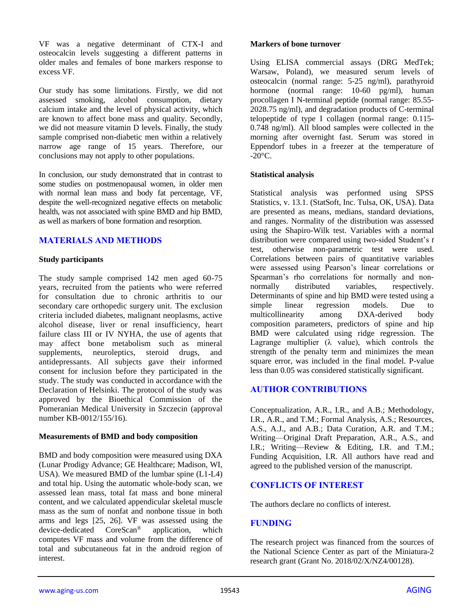VF was a negative determinant of CTX-I and osteocalcin levels suggesting a different patterns in older males and females of bone markers response to excess VF.

Our study has some limitations. Firstly, we did not assessed smoking, alcohol consumption, dietary calcium intake and the level of physical activity, which are known to affect bone mass and quality. Secondly, we did not measure vitamin D levels. Finally, the study sample comprised non-diabetic men within a relatively narrow age range of 15 years. Therefore, our conclusions may not apply to other populations.

In conclusion, our study demonstrated that in contrast to some studies on postmenopausal women, in older men with normal lean mass and body fat percentage, VF, despite the well-recognized negative effects on metabolic health, was not associated with spine BMD and hip BMD, as well as markers of bone formation and resorption.

## **MATERIALS AND METHODS**

#### **Study participants**

The study sample comprised 142 men aged 60-75 years, recruited from the patients who were referred for consultation due to chronic arthritis to our secondary care orthopedic surgery unit. The exclusion criteria included diabetes, malignant neoplasms, active alcohol disease, liver or renal insufficiency, heart failure class III or IV NYHA, the use of agents that may affect bone metabolism such as mineral supplements, neuroleptics, steroid drugs, and antidepressants. All subjects gave their informed consent for inclusion before they participated in the study. The study was conducted in accordance with the Declaration of Helsinki. The protocol of the study was approved by the Bioethical Commission of the Pomeranian Medical University in Szczecin (approval number KB-0012/155/16).

#### **Measurements of BMD and body composition**

BMD and body composition were measured using DXA (Lunar Prodigy Advance; GE Healthcare; Madison, WI, USA). We measured BMD of the lumbar spine (L1-L4) and total hip. Using the automatic whole-body scan, we assessed lean mass, total fat mass and bone mineral content, and we calculated appendicular skeletal muscle mass as the sum of nonfat and nonbone tissue in both arms and legs [25, 26]. VF was assessed using the device-dedicated CoreScan® application, which computes VF mass and volume from the difference of total and subcutaneous fat in the android region of interest.

#### **Markers of bone turnover**

Using ELISA commercial assays (DRG MedTek; Warsaw, Poland), we measured serum levels of osteocalcin (normal range: 5-25 ng/ml), parathyroid hormone (normal range: 10-60 pg/ml), human procollagen I N-terminal peptide (normal range: 85.55- 2028.75 ng/ml), and degradation products of C-terminal telopeptide of type I collagen (normal range: 0.115- 0.748 ng/ml). All blood samples were collected in the morning after overnight fast. Serum was stored in Eppendorf tubes in a freezer at the temperature of  $-20^{\circ}$ C.

#### **Statistical analysis**

Statistical analysis was performed using SPSS Statistics, v. 13.1. (StatSoft, Inc. Tulsa, OK, USA). Data are presented as means, medians, standard deviations, and ranges. Normality of the distribution was assessed using the Shapiro-Wilk test. Variables with a normal distribution were compared using two-sided Student's *t* test, otherwise non-parametric test were used. Correlations between pairs of quantitative variables were assessed using Pearson's linear correlations or Spearman's rho correlations for normally and nonnormally distributed variables, respectively. Determinants of spine and hip BMD were tested using a simple linear regression models. Due to multicollinearity among DXA-derived body composition parameters, predictors of spine and hip BMD were calculated using ridge regression. The Lagrange multiplier  $(\lambda$  value), which controls the strength of the penalty term and minimizes the mean square error, was included in the final model. P-value less than 0.05 was considered statistically significant.

## **AUTHOR CONTRIBUTIONS**

Conceptualization, A.R., I.R., and A.B.; Methodology, I.R., A.R., and T.M.; Formal Analysis, A.S.; Resources, A.S., A.J., and A.B.; Data Curation, A.R. and T.M.; Writing—Original Draft Preparation, A.R., A.S., and I.R.; Writing—Review & Editing, I.R. and T.M.; Funding Acquisition, I.R. All authors have read and agreed to the published version of the manuscript.

## **CONFLICTS OF INTEREST**

The authors declare no conflicts of interest.

#### **FUNDING**

The research project was financed from the sources of the National Science Center as part of the Miniatura-2 research grant (Grant No. 2018/02/X/NZ4/00128).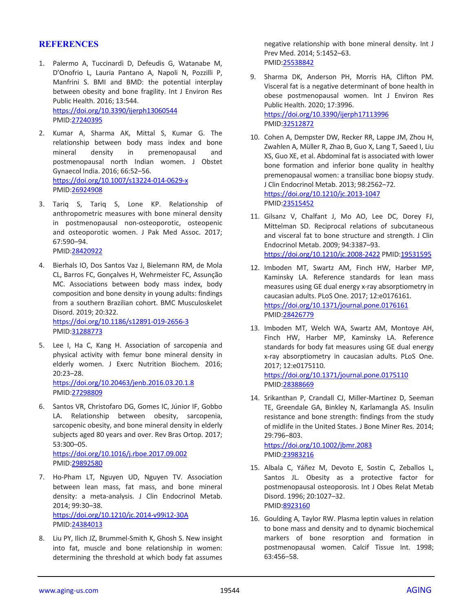#### **REFERENCES**

- 1. Palermo A, Tuccinardi D, Defeudis G, Watanabe M, D'Onofrio L, Lauria Pantano A, Napoli N, Pozzilli P, Manfrini S. BMI and BMD: the potential interplay between obesity and bone fragility. Int J Environ Res Public Health. 2016; 13:544. <https://doi.org/10.3390/ijerph13060544> PMID[:27240395](https://pubmed.ncbi.nlm.nih.gov/27240395)
- 2. Kumar A, Sharma AK, Mittal S, Kumar G. The relationship between body mass index and bone mineral density in premenopausal and postmenopausal north Indian women. J Obstet Gynaecol India. 2016; 66:52–56. <https://doi.org/10.1007/s13224-014-0629-x> PMID[:26924908](https://pubmed.ncbi.nlm.nih.gov/26924908)
- 3. Tariq S, Tariq S, Lone KP. Relationship of anthropometric measures with bone mineral density in postmenopausal non-osteoporotic, osteopenic and osteoporotic women. J Pak Med Assoc. 2017; 67:590–94. PMID[:28420922](https://pubmed.ncbi.nlm.nih.gov/28420922)
- 4. Bierhals IO, Dos Santos Vaz J, Bielemann RM, de Mola CL, Barros FC, Gonçalves H, Wehrmeister FC, Assunção MC. Associations between body mass index, body composition and bone density in young adults: findings from a southern Brazilian cohort. BMC Musculoskelet Disord. 2019; 20:322. <https://doi.org/10.1186/s12891-019-2656-3>

PMID[:31288773](https://pubmed.ncbi.nlm.nih.gov/31288773)

- 5. Lee I, Ha C, Kang H. Association of sarcopenia and physical activity with femur bone mineral density in elderly women. J Exerc Nutrition Biochem. 2016; 20:23–28. <https://doi.org/10.20463/jenb.2016.03.20.1.8> PMID[:27298809](https://pubmed.ncbi.nlm.nih.gov/27298809)
- 6. Santos VR, Christofaro DG, Gomes IC, Júnior IF, Gobbo LA. Relationship between obesity, sarcopenia, sarcopenic obesity, and bone mineral density in elderly subjects aged 80 years and over. Rev Bras Ortop. 2017; 53:300–05.

<https://doi.org/10.1016/j.rboe.2017.09.002> PMID[:29892580](https://pubmed.ncbi.nlm.nih.gov/29892580)

- 7. Ho-Pham LT, Nguyen UD, Nguyen TV. Association between lean mass, fat mass, and bone mineral density: a meta-analysis. J Clin Endocrinol Metab. 2014; 99:30–38. <https://doi.org/10.1210/jc.2014-v99i12-30A> PMID[:24384013](https://pubmed.ncbi.nlm.nih.gov/24384013)
- 8. Liu PY, Ilich JZ, Brummel-Smith K, Ghosh S. New insight into fat, muscle and bone relationship in women: determining the threshold at which body fat assumes

negative relationship with bone mineral density. Int J Prev Med. 2014; 5:1452–63. PMI[D:25538842](https://pubmed.ncbi.nlm.nih.gov/25538842)

- 9. Sharma DK, Anderson PH, Morris HA, Clifton PM. Visceral fat is a negative determinant of bone health in obese postmenopausal women. Int J Environ Res Public Health. 2020; 17:3996. <https://doi.org/10.3390/ijerph17113996> PMI[D:32512872](https://pubmed.ncbi.nlm.nih.gov/32512872)
- 10. Cohen A, Dempster DW, Recker RR, Lappe JM, Zhou H, Zwahlen A, Müller R, Zhao B, Guo X, Lang T, Saeed I, Liu XS, Guo XE, et al. Abdominal fat is associated with lower bone formation and inferior bone quality in healthy premenopausal women: a transiliac bone biopsy study. J Clin Endocrinol Metab. 2013; 98:2562–72. <https://doi.org/10.1210/jc.2013-1047> PMI[D:23515452](https://pubmed.ncbi.nlm.nih.gov/23515452)
- 11. Gilsanz V, Chalfant J, Mo AO, Lee DC, Dorey FJ, Mittelman SD. Reciprocal relations of subcutaneous and visceral fat to bone structure and strength. J Clin Endocrinol Metab. 2009; 94:3387–93. <https://doi.org/10.1210/jc.2008-2422> PMID[:19531595](https://pubmed.ncbi.nlm.nih.gov/19531595)
- 12. Imboden MT, Swartz AM, Finch HW, Harber MP, Kaminsky LA. Reference standards for lean mass measures using GE dual energy x-ray absorptiometry in caucasian adults. PLoS One. 2017; 12:e0176161. <https://doi.org/10.1371/journal.pone.0176161> PMI[D:28426779](https://pubmed.ncbi.nlm.nih.gov/28426779)
- 13. Imboden MT, Welch WA, Swartz AM, Montoye AH, Finch HW, Harber MP, Kaminsky LA. Reference standards for body fat measures using GE dual energy x-ray absorptiometry in caucasian adults. PLoS One. 2017; 12:e0175110. <https://doi.org/10.1371/journal.pone.0175110> PMI[D:28388669](https://pubmed.ncbi.nlm.nih.gov/28388669)
- 14. Srikanthan P, Crandall CJ, Miller-Martinez D, Seeman TE, Greendale GA, Binkley N, Karlamangla AS. Insulin resistance and bone strength: findings from the study of midlife in the United States. J Bone Miner Res. 2014; 29:796–803. <https://doi.org/10.1002/jbmr.2083>

PMI[D:23983216](https://pubmed.ncbi.nlm.nih.gov/23983216)

- 15. Albala C, Yáñez M, Devoto E, Sostin C, Zeballos L, Santos JL. Obesity as a protective factor for postmenopausal osteoporosis. Int J Obes Relat Metab Disord. 1996; 20:1027–32. PMI[D:8923160](https://pubmed.ncbi.nlm.nih.gov/8923160)
- 16. Goulding A, Taylor RW. Plasma leptin values in relation to bone mass and density and to dynamic biochemical markers of bone resorption and formation in postmenopausal women. Calcif Tissue Int. 1998; 63:456–58.